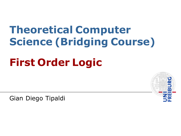# **Theoretical Computer Science (Bridging Course)**

## **First Order Logic**

Gian Diego Tipaldi

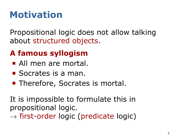## **Motivation**

Propositional logic does not allow talking about structured objects.

#### . **A famous syllogism** .

- All men are mortal.
- Socrates is a man.
- Therefore, Socrates is mortal.

It is impossible to formulate this in propositional logic.

*→* first-order logic (predicate logic)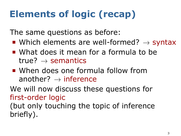## **Elements of logic (recap)**

The same questions as before:

- Which elements are well-formed?  $\rightarrow$  syntax
- What does it mean for a formula to be true? *→* semantics
- When does one formula follow from another? *→* inference

We will now discuss these questions for first-order logic

(but only touching the topic of inference briefly).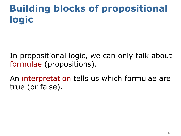## **Building blocks of propositional logic**

- In propositional logic, we can only talk about formulae (propositions).
- An interpretation tells us which formulae are true (or false).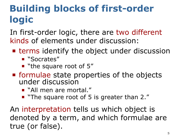## **Building blocks of first-order logic**

In first-order logic, there are two different kinds of elements under discussion:

- **Example 1** terms identify the object under discussion
	- "Socrates"
	- " "the square root of 5"
- formulae state properties of the objects under discussion
	- "All men are mortal."
	- **The square root of 5 is greater than 2.**"

An interpretation tells us which object is denoted by a term, and which formulae are true (or false).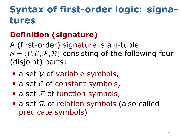## **Syntax of first-order logic: signatures**

#### . **Definition (signature)** .

A (first-order) signature is a 4-tuple  $S = \langle V, C, F, R \rangle$  consisting of the following four (disjoint) parts:

- $\blacksquare$  a set  $\mathcal V$  of variable symbols,
- $\blacksquare$  a set  $\mathcal C$  of constant symbols,
- a set  $F$  of function symbols,
- a set  $R$  of relation symbols (also called predicate symbols)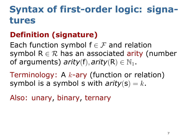## **Syntax of first-order logic: signatures**

#### . **Definition (signature)** .

. of arguments) *arity*(f)*, arity*(R) *∈* N1. Each function symbol f *∈ F* and relation symbol  $R \in \mathcal{R}$  has an associated arity (number

Terminology: A *k*-ary (function or relation) symbol is a symbol s with  $arity(s) = k$ .

Also: unary, binary, ternary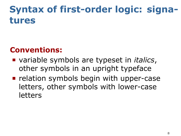## **Syntax of first-order logic: signatures**

#### **Conventions:**

- variable symbols are typeset in *italics*, other symbols in an upright typeface
- $\blacksquare$  relation symbols begin with upper-case letters, other symbols with lower-case letters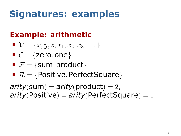### **Signatures: examples**

#### . **Example: arithmetic** .

- $\mathcal{V} = \{x, y, z, x_1, x_2, x_3, \dots\}$
- $C = \{$ zero, one $\}$
- $\mathbf{F} = \{ \text{sum}, \text{product} \}$
- *R* = *{*Positive*,* PerfectSquare*}*

. *arity*(Positive) = *arity*(PerfectSquare) = 1  $\textit{arity}(\textsf{sum}) = \textit{arity}(\textsf{product}) = 2$ ,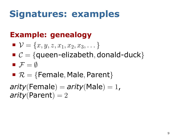### **Signatures: examples**

#### . **Example: genealogy** .

. *arity*(Parent) = 2  $\mathcal{V} = \{x, y, z, x_1, x_2, x_3, \dots\}$ *C* = *{*queen-elizabeth*,* donald-duck*}*  $\blacksquare$  *F* =  $\emptyset$  $\blacksquare$   $\mathcal{R}$  = {Female, Male, Parent}  $arity$ (Female) =  $arity$ (Male) = 1,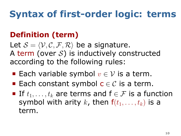## **Syntax of first-order logic: terms**

#### . **Definition (term)** .

Let  $S = \langle V, C, F, R \rangle$  be a signature. A term (over *S*) is inductively constructed according to the following rules:

- Each variable symbol *v ∈ V* is a term.
- Each constant symbol  $c \in C$  is a term.
- If *t*1*, . . . , t<sup>k</sup>* are terms and f *∈ F* is a function symbol with arity *k*, then  $f(t_1, \ldots, t_k)$  is a term.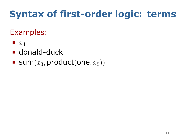## **Syntax of first-order logic: terms**

### Examples:

- $\blacksquare$   $x_4$
- donald-duck
- $\blacksquare$  sum $(x_3, \text{product}(\text{one}, x_5))$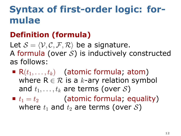## **Syntax of first-order logic: formulae**

#### . **Definition (formula)** .

Let  $S = \langle V, C, F, R \rangle$  be a signature. A formula (over *S*) is inductively constructed as follows:

- $\blacksquare$  R( $t_1, \ldots, t_k$ ) (atomic formula; atom) where  $R \in \mathcal{R}$  is a *k*-ary relation symbol and  $t_1, \ldots, t_k$  are terms (over S)
- $t_1 = t_2$  (atomic formula; equality) where  $t_1$  and  $t_2$  are terms (over  $S$ )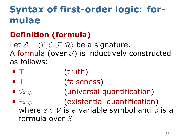## **Syntax of first-order logic: formulae**

#### . **Definition (formula)** .

Let  $S = \langle V, C, F, R \rangle$  be a signature. A formula (over *S*) is inductively constructed as follows:

- *⊤* (truth)
- *⊥* (falseness)
- *∀x φ* (universal quantification)
- *∃x φ* (existential quantification) where  $x \in V$  is a variable symbol and  $\varphi$  is a formula over *S*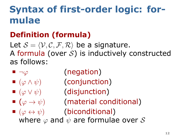## **Syntax of first-order logic: formulae**

#### . **Definition (formula)** .

Let  $S = \langle V, C, F, R \rangle$  be a signature. A formula (over *S*) is inductively constructed as follows:

- *¬φ* (negation)
- (*φ ∧ ψ*) (conjunction)
- 
- 
- (*φ ∨ ψ*) (disjunction)
- (*φ → ψ*) (material conditional)
- (*φ ↔ ψ*) (biconditional) where *φ* and *ψ* are formulae over *S*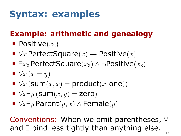## **Syntax: examples**

#### . **Example: arithmetic and genealogy** .

- $\blacksquare$  Positive $(x_2)$
- *∀x* PerfectSquare(*x*) *→* Positive(*x*)
- *∃x*<sup>3</sup> PerfectSquare(*x*3) *∧ ¬*Positive(*x*3)
- $\blacktriangleright$  *∀x* (*x* = *y*)
- $\blacksquare$   $\forall x$  (sum $(x, x) =$  product $(x, \text{one})$ )
- $\blacktriangleright$  *∀x* $\exists$ *y* (sum $(x, y)$  = zero)
- *∀x∃y* Parent(*y, x*) *∧* Female(*y*)

Conventions: When we omit parentheses, *∀* and *∃* bind less tightly than anything else.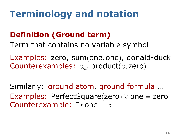## **Terminology and notation**

#### . **Definition (Ground term)** .

.Term that contains no variable symbol

Examples: zero, sum(one*,* one), donald-duck Counterexamples: *x*4, product(*x,* zero)

Similarly: ground atom, ground formula … Examples: PerfectSquare(zero) *∨* one = zero Counterexample:  $\exists x$  one  $= x$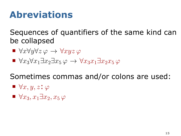### **Abreviations**

Sequences of quantifiers of the same kind can be collapsed

- *∀x∀y∀z φ → ∀xyz φ*
- $\blacktriangleright$   $\forall x_3 \forall x_1 \exists x_2 \exists x_5 \varphi \rightarrow \forall x_3 x_1 \exists x_2 x_5 \varphi$

Sometimes commas and/or colons are used:

- *∀x, y, z*: *φ*
- *∀x*3*, x*1*∃x*2*, x*<sup>5</sup> *φ*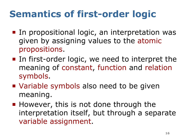- In propositional logic, an interpretation was given by assigning values to the atomic propositions.
- In first-order logic, we need to interpret the meaning of constant, function and relation symbols.
- Variable symbols also need to be given meaning.
- However, this is not done through the interpretation itself, but through a separate variable assignment.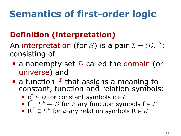#### . **Definition (interpretation)** .

An interpretation (for  $\mathcal{S}$ ) is a pair  $\mathcal{I} = \langle D, \cdot^{\mathcal{I}} \rangle$ consisting of

- a nonempty set *D* called the domain (or universe) and
- a function  $\cdot^{\mathcal{I}}$  that assigns a meaning to constant, function and relation symbols:
	- c *<sup>I</sup> ∈ D* for constant symbols c *∈ C*
	- $\textsf{f}^{\mathcal{L}}:D^k\rightarrow D$  for  $k$ -ary function symbols  $\textsf{f}\in\mathcal{F}$
	- $\mathsf{R}^\mathcal{I} \subseteq D^k$  for  $k$ -ary relation symbols  $\mathsf{R} \in \mathcal{R}$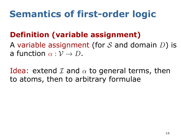#### . **Definition (variable assignment)** .

a function  $\alpha: \mathcal{V} \to D$ . A variable assignment (for *S* and domain *D*) is

Idea: extend *I* and *α* to general terms, then to atoms, then to arbitrary formulae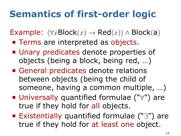Example:  $(\forall x \text{Block}(x) \rightarrow \text{Red}(x)) \land \text{Block}(a)$ 

- **Terms are interpreted as objects.**
- Unary predicates denote properties of objects (being a block, being red, …)
- General predicates denote relations between objects (being the child of someone, having a common multiple, …)
- Universally quantified formulae ("*∀*") are true if they hold for all objects.
- Existentially quantified formulae ("*∃*") are true if they hold for at least one object.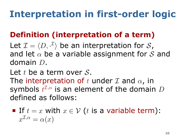## **Interpretation in first-order logic**

#### . **Definition (interpretation of a term)** .

Let  $\mathcal{I} = \langle D, \cdot^{\mathcal{I}} \rangle$  be an interpretation for  $\mathcal{S}_{\boldsymbol{I}}$ and let *α* be a variable assignment for *S* and domain *D*.

Let *t* be a term over *S*.

The interpretation of *t* under *I* and *α*, in symbols *t <sup>I</sup>,α* is an element of the domain *D* defined as follows:

■ If 
$$
t = x
$$
 with  $x \in V$  (*t* is a variable term):  
 $x^{I,\alpha} = \alpha(x)$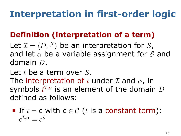## **Interpretation in first-order logic**

#### . **Definition (interpretation of a term)** .

Let  $\mathcal{I} = \langle D, \cdot^{\mathcal{I}} \rangle$  be an interpretation for  $\mathcal{S}_{\boldsymbol{I}}$ and let *α* be a variable assignment for *S* and domain *D*.

Let *t* be a term over *S*.

The interpretation of *t* under *I* and *α*, in symbols *t <sup>I</sup>,α* is an element of the domain *D* defined as follows:

If  $t = c$  with  $c \in \mathcal{C}$  (*t* is a constant term):  $c^{\mathcal{I},\alpha} = c^{\mathcal{I}}$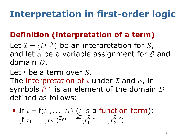## **Interpretation in first-order logic**

#### . **Definition (interpretation of a term)** .

Let  $\mathcal{I} = \langle D, \cdot^{\mathcal{I}} \rangle$  be an interpretation for  $\mathcal{S}_{\boldsymbol{I}}$ and let *α* be a variable assignment for *S* and domain *D*.

Let *t* be a term over *S*.

The interpretation of *t* under *I* and *α*, in symbols *t <sup>I</sup>,α* is an element of the domain *D* defined as follows:

\n- If 
$$
t = f(t_1, \ldots, t_k)
$$
 (t is a function term):  $(f(t_1, \ldots, t_k))^{\mathcal{I}, \alpha} = f^{\mathcal{I}}(t_1^{\mathcal{I}, \alpha}, \ldots, t_k^{\mathcal{I}, \alpha})$
\n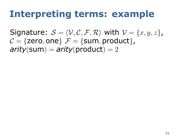### **Interpreting terms: example**

Signature:  $S = \langle V, C, F, R \rangle$  with  $V = \{x, y, z\}$ ,  $C = \{$ zero, one $}$   $\mathcal{F} = \{$ sum, product $}$ ,  $\textit{arity}(\textsf{sum}) = \textit{arity}(\textsf{product}) = 2$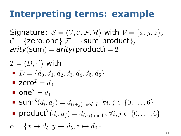### **Interpreting terms: example**

Signature:  $S = \langle V, C, F, R \rangle$  with  $V = \{x, y, z\}$ ,  $C = \{$ zero, one $}$   $\mathcal{F} = \{$ sum, product $}$ ,  $\textit{arity}(\textsf{sum}) = \textit{arity}(\textsf{product}) = 2$ 

$$
\mathcal{I} = \langle D, \cdot^{\mathcal{I}} \rangle \text{ with}
$$
\n
$$
\blacksquare D = \{d_0, d_1, d_2, d_3, d_4, d_5, d_6\}
$$
\n
$$
\blacksquare \text{zero}^{\mathcal{I}} = d_0
$$
\n
$$
\blacksquare \text{one}^{\mathcal{I}} = d_1
$$
\n
$$
\blacksquare \text{sum}^{\mathcal{I}}(d_i, d_j) = d_{(i+j) \mod 7}, \forall i, j \in \{0, \dots, 6\}
$$
\n
$$
\blacksquare \text{product}^{\mathcal{I}}(d_i, d_j) = d_{(i \cdot j) \mod 7} \forall i, j \in \{0, \dots, 6\}
$$
\n
$$
\alpha = \{x \mapsto d_5, y \mapsto d_5, z \mapsto d_0\}
$$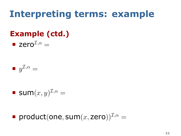### **Interpreting terms: example**

#### . **Example (ctd.)** .

 $\blacksquare$  zero<sup> $I,\alpha$ </sup> =

 $y^{\mathcal{I},\alpha} =$ 

$$
\blacksquare \mathsf{Sum}(x, y)^{\mathcal{I}, \alpha} =
$$

product(one, sum $(x,$  zero))<sup> $\mathcal{I}, \alpha$ </sup> =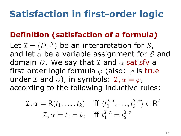### **Satisfaction in first-order logic**

#### . **Definition (satisfaction of a formula)** .

Let  $\mathcal{I} = \langle D, \cdot^{\mathcal{I}} \rangle$  be an interpretation for  $\mathcal{S}_{\boldsymbol{I}}$ and let *α* be a variable assignment for *S* and domain *D*. We say that *I* and *α* satisfy a first-order logic formula *φ* (also: *φ* is true under *I* and  $\alpha$ ), in symbols:  $I, \alpha \models \varphi$ , according to the following inductive rules:

$$
\mathcal{I}, \alpha \models \mathsf{R}(t_1, \dots, t_k) \quad \text{iff } \langle t_1^{\mathcal{I}, \alpha}, \dots, t_k^{\mathcal{I}, \alpha} \rangle \in \mathsf{R}^{\mathcal{I}} \\ \mathcal{I}, \alpha \models t_1 = t_2 \quad \text{iff } t_1^{\mathcal{I}, \alpha} = t_2^{\mathcal{I}, \alpha}
$$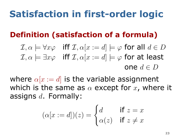### **Satisfaction in first-order logic**

#### . **Definition (satisfaction of a formula)** .

$$
\mathcal{I}, \alpha \models \forall x \varphi \quad \text{iff } \mathcal{I}, \alpha[x := d] \models \varphi \text{ for all } d \in D
$$
\n
$$
\mathcal{I}, \alpha \models \exists x \varphi \quad \text{iff } \mathcal{I}, \alpha[x := d] \models \varphi \text{ for at least}
$$
\n
$$
\text{one } d \in D
$$

where  $\alpha[x := d]$  is the variable assignment which is the same as *α* except for *x*, where it assigns *d*. Formally:

$$
(\alpha[x := d])(z) = \begin{cases} d & \text{if } z = x \\ \alpha(z) & \text{if } z \neq x \end{cases}
$$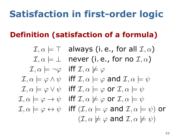## **Satisfaction in first-order logic**

#### . **Definition (satisfaction of a formula)** .

 $\mathcal{I}, \alpha \models \top$  always (i.e., for all  $\mathcal{I}, \alpha$ )  $\mathcal{I}, \alpha \models \bot$  never (i.e., for no  $\mathcal{I}, \alpha$ )  $I, \alpha \models \neg \varphi$  iff  $I, \alpha \not\models \varphi$  $I, \alpha \models \varphi \land \psi$  iff  $I, \alpha \models \varphi$  and  $I, \alpha \models \psi$  $I, \alpha \models \varphi \lor \psi$  iff  $I, \alpha \models \varphi$  or  $I, \alpha \models \psi$  $\mathcal{I}, \alpha \models \varphi \rightarrow \psi$  iff  $\mathcal{I}, \alpha \not\models \varphi$  or  $\mathcal{I}, \alpha \models \psi$  $\mathcal{I}, \alpha \models \varphi \leftrightarrow \psi$  iff  $(\mathcal{I}, \alpha \models \varphi \text{ and } \mathcal{I}, \alpha \models \psi)$  or  $(\mathcal{I}, \alpha \not\models \varphi \text{ and } \mathcal{I}, \alpha \not\models \psi)$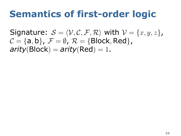Signature:  $S = \langle V, C, F, R \rangle$  with  $V = \{x, y, z\}$ ,  $C = \{a, b\}, \mathcal{F} = \emptyset, \mathcal{R} = \{\text{Block}, \text{Red}\},\$  $arity(Block) = arity(Red) = 1.$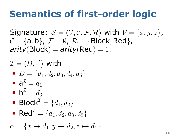Signature:  $S = \langle V, C, F, R \rangle$  with  $V = \{x, y, z\}$ ,  $C = \{a, b\}, \mathcal{F} = \emptyset, \mathcal{R} = \{\text{Block}, \text{Red}\},\$  $arity(Block) = arity(Red) = 1.$ 

$$
\mathcal{I} = \langle D, \cdot^{\mathcal{I}} \rangle \text{ with}
$$
\n
$$
\blacksquare D = \{d_1, d_2, d_3, d_4, d_5\}
$$
\n
$$
\blacksquare \mathbf{a}^{\mathcal{I}} = d_1
$$
\n
$$
\blacksquare \mathbf{b}^{\mathcal{I}} = d_3
$$
\n
$$
\blacksquare \text{Block}^{\mathcal{I}} = \{d_1, d_2\}
$$
\n
$$
\blacksquare \text{Red}^{\mathcal{I}} = \{d_1, d_2, d_3, d_5\}
$$
\n
$$
\alpha = \{x \mapsto d_1, y \mapsto d_2, z \mapsto d_1\}
$$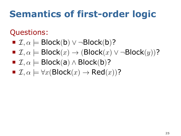### Questions:

- *I, α |*= Block(b) *∨ ¬*Block(b)?
- $\blacksquare$  *I*,  $\alpha$   $\models$  Block $(x)$  → (Block $(x)$   $\vee$   $\neg$ Block $(y)$ )?
- $\blacksquare$  *I*,  $\alpha$   $\models$  Block(a)  $\land$  Block(b)?
- $\blacksquare$  *I*,  $\alpha \models \forall x (\text{Block}(x) \rightarrow \text{Red}(x))$ ?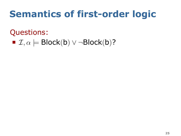### Questions:

 $\blacksquare$  *I*,  $\alpha$   $\models$  Block(b)  $\vee$   $\neg$ Block(b)?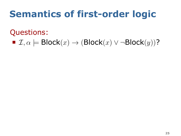### Questions:

 $\blacksquare$  *I*,  $\alpha$   $\models$  Block $(x)$  → (Block $(x)$   $\vee$   $\neg$ Block $(y)$ )?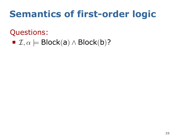### Questions:

 $\blacksquare$  *I*,  $\alpha$   $\models$  Block(a)  $\land$  Block(b)?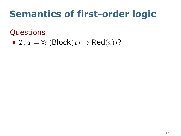### Questions:

 $\blacksquare$  *I*,  $\alpha \models \forall x (\text{Block}(x) \rightarrow \text{Red}(x))$ ?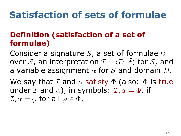## **Satisfaction of sets of formulae**

#### . **Definition (satisfaction of a set of formulae)** .

Consider a signature *S*, a set of formulae Φ over  $\mathcal{S}% _{1}$  , an interpretation  $\mathcal{I}=\langle D, \cdot^{\mathcal{I}}\rangle$  for  $\mathcal{S}$  , and a variable assignment *α* for *S* and domain *D*.

 $\mathcal{I}, \alpha \models \varphi$  for all  $\varphi \in \Phi$ . We say that *I* and *α* satisfy Φ (also: Φ is true under *I* and  $\alpha$ ), in symbols:  $\mathcal{I}, \alpha \models \Phi$ , if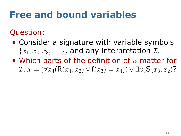### Question:

- **Consider a signature with variable symbols**  ${x_1, x_2, x_3, \ldots}$ , and any interpretation *I*.
- Which parts of the definition of *α* matter for  $\mathcal{I}, \alpha \models (\forall x_4 (R(x_4, x_2) \lor f(x_3) = x_4)) \lor \exists x_3 S(x_3, x_2)$ ?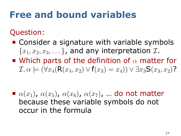### Question:

- **Consider a signature with variable symbols**  ${x_1, x_2, x_3, \ldots}$ , and any interpretation *I*.
- Which parts of the definition of *α* matter for  $\mathcal{I}, \alpha \models (\forall x_4 (R(x_4, x_2) \lor f(x_3) = x_4)) \lor \exists x_3 S(x_3, x_2)$ ?

 $\bullet$  *α*(*x*<sub>1</sub>), *α*(*x*<sub>5</sub>), *α*(*x*<sub>6</sub>), *α*(*x*<sub>7</sub>), ... do not matter because these variable symbols do not occur in the formula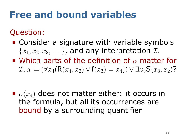### Question:

- **Consider a signature with variable symbols**  ${x_1, x_2, x_3, \ldots}$ , and any interpretation *I*.
- Which parts of the definition of *α* matter for  $\mathcal{I}, \alpha \models (\forall x_4 (R(x_4, x_2) \lor f(x_3) = x_4)) \lor \exists x_3 S(x_3, x_2)$ ?

 $\bullet$   $\alpha(x_4)$  does not matter either: it occurs in the formula, but all its occurrences are bound by a surrounding quantifier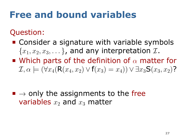### Question:

- **Consider a signature with variable symbols**  ${x_1, x_2, x_3, \ldots}$ , and any interpretation *I*.
- Which parts of the definition of *α* matter for  $\mathcal{I}, \alpha \models (\forall x_4 (R(x_4, x_2) \lor f(x_3) = x_4)) \lor \exists x_3 S(x_3, x_2)$ ?

■ → only the assignments to the free variables  $x_2$  and  $x_3$  matter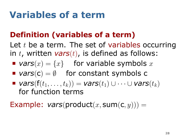### **Variables of a term**

#### . **Definition (variables of a term)** .

Let *t* be a term. The set of variables occurring in *t*, written *vars*(*t*), is defined as follows:

- *vars* $(x) = \{x\}$  for variable symbols x
- *vars*(c) = *∅* for constant symbols c
- $\blacksquare$  *vars*( $f(t_1, \ldots, t_k)$ ) = *vars*( $t_1$ ) ∪ · · · ∪ *vars*( $t_k$ ) for function terms

Example:  $vars(preduct(x, sum(c, y))) =$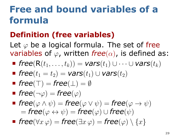### **Free and bound variables of a formula**

#### . **Definition (free variables)** .

Let *φ* be a logical formula. The set of free variables of *φ*, written *free*(*α*), is defined as:

$$
\quad \textit{free}(R(t_1,\ldots,t_k)) = \textit{vars}(t_1) \cup \cdots \cup \textit{vars}(t_k)
$$

- $$
- *free*(*⊤*) = *free*(*⊥*) = *∅*
- $\blacksquare$  *free*( $\neg \varphi$ ) = *free*( $\varphi$ )
- $\blacksquare$  *free*( $\varphi \land \psi$ ) = *free*( $\varphi \lor \psi$ ) = *free*( $\varphi \rightarrow \psi$ )  $=$  *free* $(\varphi \leftrightarrow \psi) =$  *free* $(\varphi) \cup$  *free* $(\psi)$
- $$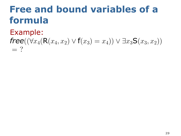### **Free and bound variables of a formula**

Example:

#### *free*(( $\forall x_4$ (**R**( $x_4$ ,  $x_2$ )  $\lor$  **f**( $x_3$ ) =  $x_4$ ))  $\lor$  ∃ $x_3$ **S**( $x_3$ ,  $x_2$ ))  $=$  ?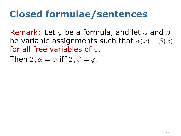## **Closed formulae/sentences**

Remark: Let *φ* be a formula, and let *α* and *β* be variable assignments such that  $\alpha(x) = \beta(x)$ for all free variables of *φ*.

Then  $\mathcal{I}, \alpha \models \varphi$  iff  $\mathcal{I}, \beta \models \varphi$ .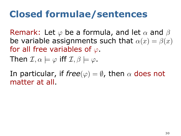### **Closed formulae/sentences**

Remark: Let *φ* be a formula, and let *α* and *β* be variable assignments such that  $\alpha(x) = \beta(x)$ for all free variables of *φ*.

Then  $\mathcal{I}, \alpha \models \varphi$  iff  $\mathcal{I}, \beta \models \varphi$ .

In particular, if  $free(\varphi) = \emptyset$ , then  $\alpha$  does not matter at all.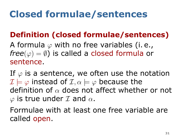## **Closed formulae/sentences**

#### . **Definition (closed formulae/sentences)** .

A formula *φ* with no free variables (i. e., *free*( $\varphi$ ) = Ø) is called a closed formula or sentence.

If  $\varphi$  is a sentence, we often use the notation  $\mathcal{I} \models \varphi$  instead of  $\mathcal{I}, \alpha \models \varphi$  because the definition of *α* does not affect whether or not *φ* is true under *I* and *α*.

. called open. Formulae with at least one free variable are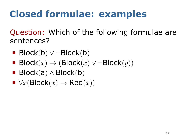## **Closed formulae: examples**

Question: Which of the following formulae are sentences?

- Block(b) *∨ ¬*Block(b)
- Block $(x)$   $\rightarrow$  (Block $(x)$   $\vee$   $\neg$ Block $(y)$ )
- Block(a) *∧* Block(b)
- $\blacktriangleright$  *∀x*(Block $(x)$  → Red $(x)$ )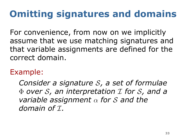## **Omitting signatures and domains**

For convenience, from now on we implicitly assume that we use matching signatures and that variable assignments are defined for the correct domain.

Example:

*Consider a signature S, a set of formulae* Φ *over S, an interpretation I for S, and a variable assignment α for S and the domain of*  $I$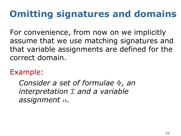## **Omitting signatures and domains**

For convenience, from now on we implicitly assume that we use matching signatures and that variable assignments are defined for the correct domain.

Example:

*Consider a set of formulae* Φ*, an interpretation I and a variable assignment α.*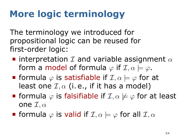## **More logic terminology**

The terminology we introduced for propositional logic can be reused for first-order logic:

- interpretation *I* and variable assignment *α* form a model of formula  $\varphi$  if  $\mathcal{I}, \alpha \models \varphi$ .
- **F** formula  $\varphi$  is satisfiable if  $\mathcal{I}, \alpha \models \varphi$  for at least one *I, α* (i. e., if it has a model)
- **Figure 1** formula  $\varphi$  is falsifiable if  $\mathcal{I}, \alpha \not\models \varphi$  for at least one *I, α*
- $\blacksquare$  formula  $\varphi$  is valid if  $\mathcal{I}, \alpha \models \varphi$  for all  $\mathcal{I}, \alpha$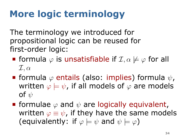## **More logic terminology**

The terminology we introduced for propositional logic can be reused for first-order logic:

- **F** formula  $\varphi$  is unsatisfiable if  $\mathcal{I}, \alpha \not\models \varphi$  for all *I, α*
- formula *φ* entails (also: implies) formula *ψ*, written  $\varphi \models \psi$ , if all models of  $\varphi$  are models of *ψ*
- **■** formulae  $\varphi$  and  $\psi$  are logically equivalent, written  $\varphi \equiv \psi$ , if they have the same models (equivalently: if  $\varphi \models \psi$  and  $\psi \models \varphi$ )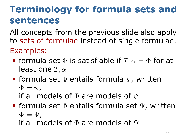## **Terminology for formula sets and sentences**

All concepts from the previous slide also apply to sets of formulae instead of single formulae. Examples:

- **formula set**  $\Phi$  **is satisfiable if**  $\mathcal{I}, \alpha \models \Phi$  **for at** least one *I, α*
- formula set Φ entails formula *ψ*, written  $\Phi \models \psi$ ,

if all models of Φ are models of *ψ*

- **F** formula set  $\Phi$  entails formula set  $\Psi$ , written  $\Phi \models \Psi$ ,
	- if all models of  $\Phi$  are models of  $\Psi$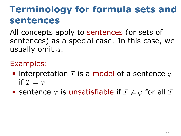## **Terminology for formula sets and sentences**

All concepts apply to sentences (or sets of sentences) as a special case. In this case, we usually omit *α*.

### Examples:

- interpretation *I* is a model of a sentence *φ* if  $\mathcal{I} \models \varphi$
- **E** sentence  $\varphi$  is unsatisfiable if  $\mathcal{I} \not\models \varphi$  for all  $\mathcal{I}$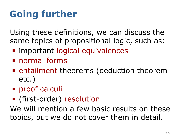## **Going further**

Using these definitions, we can discuss the same topics of propositional logic, such as:

- **n** important logical equivalences
- normal forms
- **E** entailment theorems (deduction theorem etc.)
- proof calculi
- (first-order) resolution

We will mention a few basic results on these topics, but we do not cover them in detail.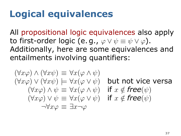### **Logical equivalences**

All propositional logic equivalences also apply to first-order logic (e.g.,  $\varphi \vee \psi \equiv \psi \vee \varphi$ ). Additionally, here are some equivalences and entailments involving quantifiers:

$$
(\forall x \varphi) \land (\forall x \psi) \equiv \forall x (\varphi \land \psi)
$$
  
\n
$$
(\forall x \varphi) \lor (\forall x \psi) \models \forall x (\varphi \lor \psi) \text{ but not vice versa}
$$
  
\n
$$
(\forall x \varphi) \land \psi \equiv \forall x (\varphi \land \psi) \text{ if } x \notin \text{free}(\psi)
$$
  
\n
$$
(\forall x \varphi) \lor \psi \equiv \forall x (\varphi \lor \psi) \text{ if } x \notin \text{free}(\psi)
$$
  
\n
$$
\neg \forall x \varphi \equiv \exists x \neg \varphi
$$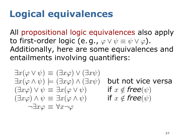### **Logical equivalences**

All propositional logic equivalences also apply to first-order logic (e.g.,  $\varphi \vee \psi \equiv \psi \vee \varphi$ ). Additionally, here are some equivalences and entailments involving quantifiers:

$$
\exists x(\varphi \lor \psi) \equiv (\exists x \varphi) \lor (\exists x \psi)
$$
  

$$
\exists x(\varphi \land \psi) \models (\exists x \varphi) \land (\exists x \psi)
$$
  

$$
(\exists x \varphi) \lor \psi \equiv \exists x(\varphi \lor \psi)
$$
  

$$
(\exists x \varphi) \land \psi \equiv \exists x(\varphi \land \psi)
$$
  

$$
\neg \exists x \varphi \equiv \forall x \neg \varphi
$$

*∃x*(*φ ∧ ψ*) *|*= (*∃xφ*) *∧* (*∃xψ*) but not vice versa  $if x \notin \textit{free}(\psi)$  $if x \notin \textit{free}(\psi)$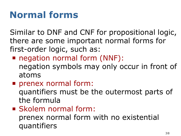## **Normal forms**

Similar to DNF and CNF for propositional logic, there are some important normal forms for first-order logic, such as:

- negation normal form (NNF): negation symbols may only occur in front of atoms
- **prenex normal form:** quantifiers must be the outermost parts of the formula
- Skolem normal form: prenex normal form with no existential quantifiers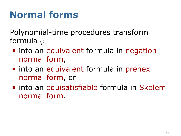## **Normal forms**

Polynomial-time procedures transform formula *φ*

- **n** into an equivalent formula in negation normal form,
- nto an equivalent formula in prenex normal form, or
- **n** into an equisatisfiable formula in Skolem normal form.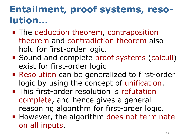## **Entailment, proof systems, resolution…**

- The deduction theorem, contraposition theorem and contradiction theorem also hold for first-order logic.
- Sound and complete proof systems (calculi) exist for first-order logic
- Resolution can be generalized to first-order logic by using the concept of unification.
- **This first-order resolution is refutation** complete, and hence gives a general reasoning algorithm for first-order logic.
- **However, the algorithm does not terminate** on all inputs.